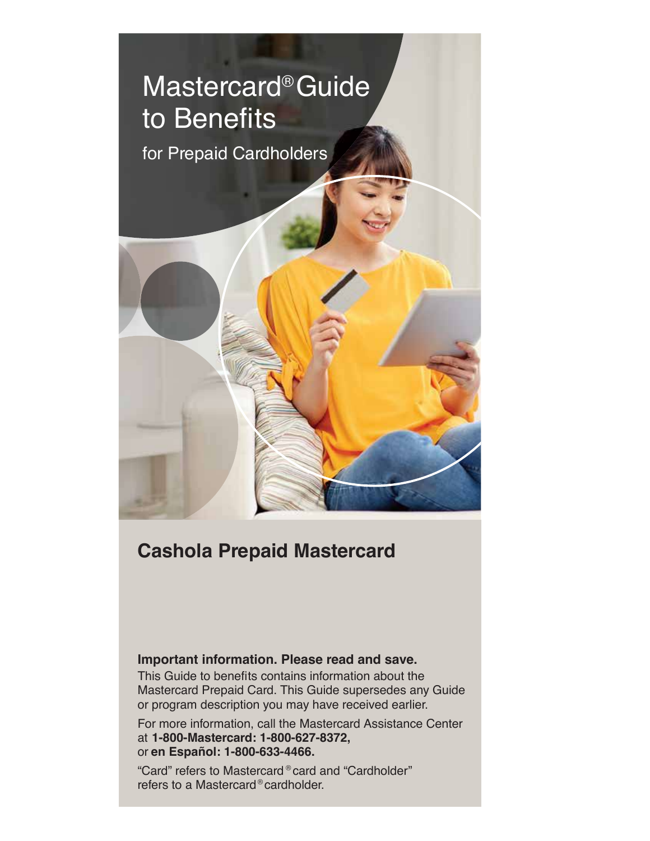# Mastercard® Guide to Benefits for Prepaid Cardholders

# **Cashola Prepaid Mastercard**

# **Important information. Please read and save.**

This Guide to benefits contains information about the Mastercard Prepaid Card. This Guide supersedes any Guide or program description you may have received earlier.

For more information, call the Mastercard Assistance Center at **1-800-Mastercard: 1-800-627-8372,**  or **en Español: 1-800-633-4466.**

"Card" refers to Mastercard ® card and "Cardholder" refers to a Mastercard ® cardholder.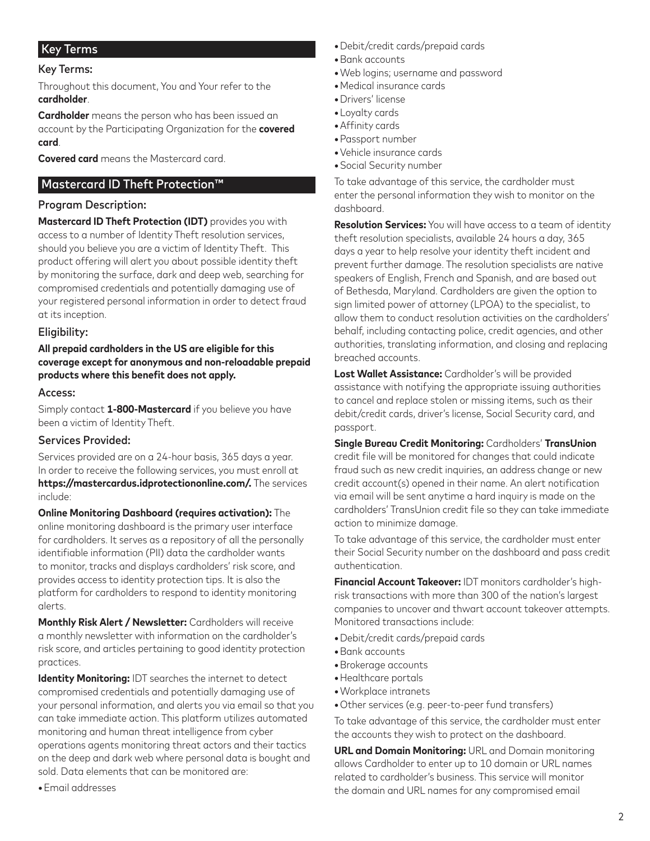# Key Terms

#### Key Terms:

Throughout this document, You and Your refer to the **cardholder**.

**Cardholder** means the person who has been issued an account by the Participating Organization for the **covered card**.

**Covered card** means the Mastercard card.

# Mastercard ID Theft Protection™

#### Program Description:

**Mastercard ID Theft Protection (IDT)** provides you with access to a number of Identity Theft resolution services, should you believe you are a victim of Identity Theft. This product offering will alert you about possible identity theft by monitoring the surface, dark and deep web, searching for compromised credentials and potentially damaging use of your registered personal information in order to detect fraud at its inception.

#### Eligibility:

**All prepaid cardholders in the US are eligible for this coverage except for anonymous and non-reloadable prepaid**  products where this benefit does not apply.

#### Access:

Simply contact **1-800-Mastercard** if you believe you have been a victim of Identity Theft.

#### Services Provided:

Services provided are on a 24-hour basis, 365 days a year. In order to receive the following services, you must enroll at **https://mastercardus.idprotectiononline.com/.** The services include:

**Online Monitoring Dashboard (requires activation):** The online monitoring dashboard is the primary user interface for cardholders. It serves as a repository of all the personally identifiable information (PII) data the cardholder wants to monitor, tracks and displays cardholders' risk score, and provides access to identity protection tips. It is also the platform for cardholders to respond to identity monitoring alerts.

**Monthly Risk Alert / Newsletter:** Cardholders will receive a monthly newsletter with information on the cardholder's risk score, and articles pertaining to good identity protection practices.

**Identity Monitoring:** IDT searches the internet to detect compromised credentials and potentially damaging use of your personal information, and alerts you via email so that you can take immediate action. This platform utilizes automated monitoring and human threat intelligence from cyber operations agents monitoring threat actors and their tactics on the deep and dark web where personal data is bought and sold. Data elements that can be monitored are:

**•**Email addresses

- **•**Debit/credit cards/prepaid cards
- **•**Bank accounts
- **•**Web logins; username and password
- **•**Medical insurance cards
- **•**Drivers' license
- **•**Loyalty cards
- Affinity cards
- **•**Passport number
- **•**Vehicle insurance cards
- **•**Social Security number

To take advantage of this service, the cardholder must enter the personal information they wish to monitor on the dashboard.

**Resolution Services:** You will have access to a team of identity theft resolution specialists, available 24 hours a day, 365 days a year to help resolve your identity theft incident and prevent further damage. The resolution specialists are native speakers of English, French and Spanish, and are based out of Bethesda, Maryland. Cardholders are given the option to sign limited power of attorney (LPOA) to the specialist, to allow them to conduct resolution activities on the cardholders' behalf, including contacting police, credit agencies, and other authorities, translating information, and closing and replacing breached accounts.

**Lost Wallet Assistance:** Cardholder's will be provided assistance with notifying the appropriate issuing authorities to cancel and replace stolen or missing items, such as their debit/credit cards, driver's license, Social Security card, and passport.

**Single Bureau Credit Monitoring:** Cardholders' **TransUnion** credit file will be monitored for changes that could indicate fraud such as new credit inquiries, an address change or new credit account(s) opened in their name. An alert notification via email will be sent anytime a hard inquiry is made on the cardholders' TransUnion credit file so they can take immediate action to minimize damage.

To take advantage of this service, the cardholder must enter their Social Security number on the dashboard and pass credit authentication.

**Financial Account Takeover:** IDT monitors cardholder's highrisk transactions with more than 300 of the nation's largest companies to uncover and thwart account takeover attempts. Monitored transactions include:

- **•**Debit/credit cards/prepaid cards
- **•**Bank accounts
- **•**Brokerage accounts
- **•**Healthcare portals
- **•**Workplace intranets
- Other services (e.g. peer-to-peer fund transfers)

To take advantage of this service, the cardholder must enter the accounts they wish to protect on the dashboard.

**URL and Domain Monitoring:** URL and Domain monitoring allows Cardholder to enter up to 10 domain or URL names related to cardholder's business. This service will monitor the domain and URL names for any compromised email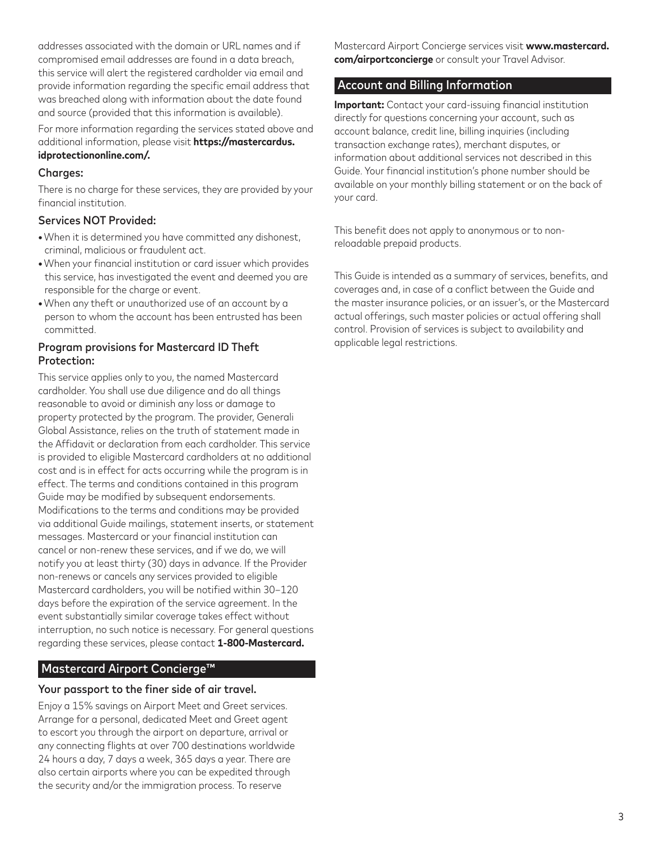addresses associated with the domain or URL names and if compromised email addresses are found in a data breach, this service will alert the registered cardholder via email and provide information regarding the specific email address that was breached along with information about the date found and source (provided that this information is available).

For more information regarding the services stated above and additional information, please visit **https://mastercardus. idprotectiononline.com/.**

#### Charges:

There is no charge for these services, they are provided by your financial institution

# Services NOT Provided:

- **•**When it is determined you have committed any dishonest, criminal, malicious or fraudulent act.
- When your financial institution or card issuer which provides this service, has investigated the event and deemed you are responsible for the charge or event.
- **•**When any theft or unauthorized use of an account by a person to whom the account has been entrusted has been committed.

### Program provisions for Mastercard ID Theft Protection:

This service applies only to you, the named Mastercard cardholder. You shall use due diligence and do all things reasonable to avoid or diminish any loss or damage to property protected by the program. The provider, Generali Global Assistance, relies on the truth of statement made in the Affidavit or declaration from each cardholder. This service is provided to eligible Mastercard cardholders at no additional cost and is in effect for acts occurring while the program is in effect. The terms and conditions contained in this program Guide may be modified by subsequent endorsements. Modifications to the terms and conditions may be provided via additional Guide mailings, statement inserts, or statement messages. Mastercard or your financial institution can cancel or non-renew these services, and if we do, we will notify you at least thirty (30) days in advance. If the Provider non-renews or cancels any services provided to eligible Mastercard cardholders, you will be notified within 30-120 days before the expiration of the service agreement. In the event substantially similar coverage takes effect without interruption, no such notice is necessary. For general questions regarding these services, please contact **1-800-Mastercard.**

# Mastercard Airport Concierge™

# Your passport to the finer side of air travel.

Enjoy a 15% savings on Airport Meet and Greet services. Arrange for a personal, dedicated Meet and Greet agent to escort you through the airport on departure, arrival or any connecting flights at over 700 destinations worldwide 24 hours a day, 7 days a week, 365 days a year. There are also certain airports where you can be expedited through the security and/or the immigration process. To reserve

Mastercard Airport Concierge services visit **www.mastercard. com/airportconcierge** or consult your Travel Advisor.

# Account and Billing Information

**Important:** Contact your card-issuing financial institution directly for questions concerning your account, such as account balance, credit line, billing inquiries (including transaction exchange rates), merchant disputes, or information about additional services not described in this Guide. Your financial institution's phone number should be available on your monthly billing statement or on the back of your card.

This benefit does not apply to anonymous or to nonreloadable prepaid products.

This Guide is intended as a summary of services, benefits, and coverages and, in case of a conflict between the Guide and the master insurance policies, or an issuer's, or the Mastercard actual offerings, such master policies or actual offering shall control. Provision of services is subject to availability and applicable legal restrictions.